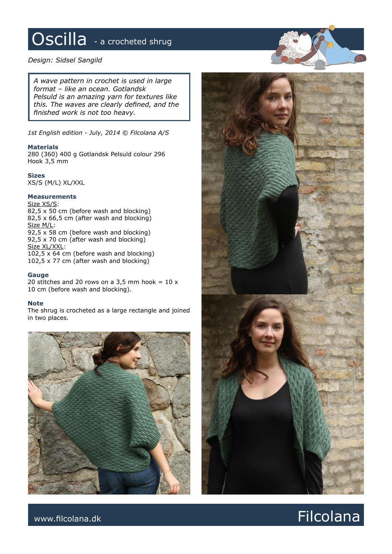# Oscilla - a crocheted shrug

### *Design: Sidsel Sangild*

*A wave pattern in crochet is used in large format – like an ocean. Gotlandsk Pelsuld is an amazing yarn for textures like this. The waves are clearly defined, and the finished work is not too heavy.* 

*1st English edition - July, 2014 © Filcolana A/S*

#### **Materials**

280 (360) 400 g Gotlandsk Pelsuld colour 296 Hook 3,5 mm

#### **Sizes**

XS/S (M/L) XL/XXL

## **Measurements**

Size XS/S:

82,5 x 50 cm (before wash and blocking) 82,5 x 66,5 cm (after wash and blocking) Size M/L: 92,5 x 58 cm (before wash and blocking) 92,5 x 70 cm (after wash and blocking) Size XL/XXL: 102,5 x 64 cm (before wash and blocking) 102,5 x 77 cm (after wash and blocking)

**Gauge** 20 stitches and 20 rows on a 3,5 mm hook =  $10 x$ 10 cm (before wash and blocking).

#### **Note**

The shrug is crocheted as a large rectangle and joined in two places.





www.filcolana.dk **Filcolana.dk** Particolana.dk